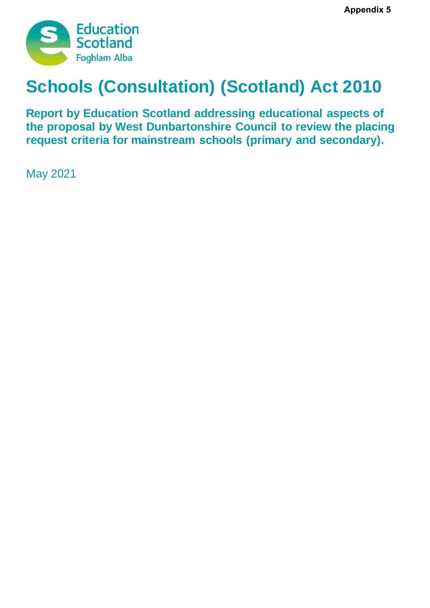

# **Schools (Consultation) (Scotland) Act 2010**

**Report by Education Scotland addressing educational aspects of the proposal by West Dunbartonshire Council to review the placing request criteria for mainstream schools (primary and secondary).**

May 2021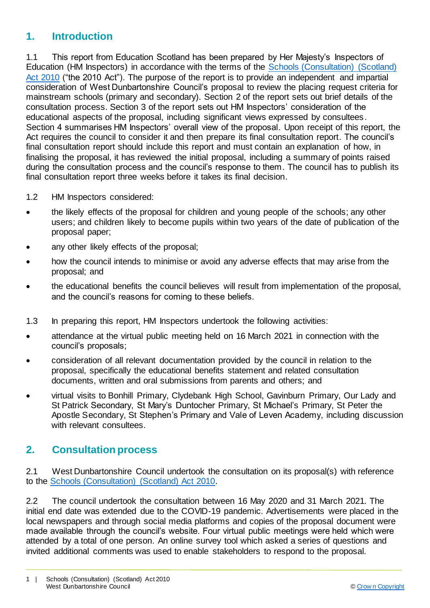### **1. Introduction**

1.1 This report from Education Scotland has been prepared by Her Majesty's Inspectors of Education (HM Inspectors) in accordance with the terms of the [Schools \(Consultation\) \(Scotland\)](https://www.google.co.uk/url?sa=t&rct=j&q=&esrc=s&source=web&cd=1&cad=rja&uact=8&ved=2ahUKEwj9-7GYkvLeAhXOasAKHT9vCtMQFjAAegQICRAB&url=https%3A%2F%2Fwww.legislation.gov.uk%2Fasp%2F2010%2F2%2Fcontents&usg=AOvVaw2lRwXOuXBCn_fz2wA9W6o2)  [Act 2010](https://www.google.co.uk/url?sa=t&rct=j&q=&esrc=s&source=web&cd=1&cad=rja&uact=8&ved=2ahUKEwj9-7GYkvLeAhXOasAKHT9vCtMQFjAAegQICRAB&url=https%3A%2F%2Fwww.legislation.gov.uk%2Fasp%2F2010%2F2%2Fcontents&usg=AOvVaw2lRwXOuXBCn_fz2wA9W6o2) ("the 2010 Act"). The purpose of the report is to provide an independent and impartial consideration of West Dunbartonshire Council's proposal to review the placing request criteria for mainstream schools (primary and secondary). Section 2 of the report sets out brief details of the consultation process. Section 3 of the report sets out HM Inspectors' consideration of the educational aspects of the proposal, including significant views expressed by consultees. Section 4 summarises HM Inspectors' overall view of the proposal. Upon receipt of this report, the Act requires the council to consider it and then prepare its final consultation report. The council's final consultation report should include this report and must contain an explanation of how, in finalising the proposal, it has reviewed the initial proposal, including a summary of points raised during the consultation process and the council's response to them. The council has to publish its final consultation report three weeks before it takes its final decision.

- 1.2 HM Inspectors considered:
- the likely effects of the proposal for children and young people of the schools; any other users; and children likely to become pupils within two years of the date of publication of the proposal paper;
- any other likely effects of the proposal;
- how the council intends to minimise or avoid any adverse effects that may arise from the proposal; and
- the educational benefits the council believes will result from implementation of the proposal, and the council's reasons for coming to these beliefs.
- 1.3 In preparing this report, HM Inspectors undertook the following activities:
- attendance at the virtual public meeting held on 16 March 2021 in connection with the council's proposals;
- consideration of all relevant documentation provided by the council in relation to the proposal, specifically the educational benefits statement and related consultation documents, written and oral submissions from parents and others; and
- virtual visits to Bonhill Primary, Clydebank High School, Gavinburn Primary, Our Lady and St Patrick Secondary, St Mary's Duntocher Primary, St Michael's Primary, St Peter the Apostle Secondary, St Stephen's Primary and Vale of Leven Academy, including discussion with relevant consultees.

#### **2. Consultation process**

2.1 West Dunbartonshire Council undertook the consultation on its proposal(s) with reference to the [Schools \(Consultation\) \(Scotland\) Act 2010.](https://www.google.co.uk/url?sa=t&rct=j&q=&esrc=s&source=web&cd=1&cad=rja&uact=8&ved=2ahUKEwj9-7GYkvLeAhXOasAKHT9vCtMQFjAAegQICRAB&url=https%3A%2F%2Fwww.legislation.gov.uk%2Fasp%2F2010%2F2%2Fcontents&usg=AOvVaw2lRwXOuXBCn_fz2wA9W6o2)

2.2 The council undertook the consultation between 16 May 2020 and 31 March 2021. The initial end date was extended due to the COVID-19 pandemic. Advertisements were placed in the local newspapers and through social media platforms and copies of the proposal document were made available through the council's website. Four virtual public meetings were held which were attended by a total of one person. An online survey tool which asked a series of questions and invited additional comments was used to enable stakeholders to respond to the proposal.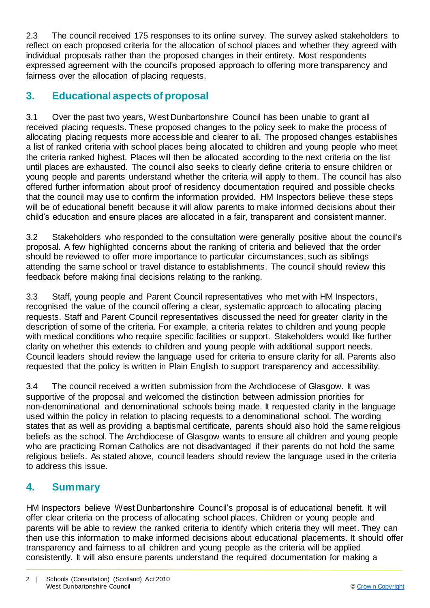2.3 The council received 175 responses to its online survey. The survey asked stakeholders to reflect on each proposed criteria for the allocation of school places and whether they agreed with individual proposals rather than the proposed changes in their entirety. Most respondents expressed agreement with the council's proposed approach to offering more transparency and fairness over the allocation of placing requests.

# **3. Educational aspects of proposal**

3.1 Over the past two years, West Dunbartonshire Council has been unable to grant all received placing requests. These proposed changes to the policy seek to make the process of allocating placing requests more accessible and clearer to all. The proposed changes establishes a list of ranked criteria with school places being allocated to children and young people who meet the criteria ranked highest. Places will then be allocated according to the next criteria on the list until places are exhausted. The council also seeks to clearly define criteria to ensure children or young people and parents understand whether the criteria will apply to them. The council has also offered further information about proof of residency documentation required and possible checks that the council may use to confirm the information provided. HM Inspectors believe these steps will be of educational benefit because it will allow parents to make informed decisions about their child's education and ensure places are allocated in a fair, transparent and consistent manner.

3.2 Stakeholders who responded to the consultation were generally positive about the council's proposal. A few highlighted concerns about the ranking of criteria and believed that the order should be reviewed to offer more importance to particular circumstances, such as siblings attending the same school or travel distance to establishments. The council should review this feedback before making final decisions relating to the ranking.

3.3 Staff, young people and Parent Council representatives who met with HM Inspectors, recognised the value of the council offering a clear, systematic approach to allocating placing requests. Staff and Parent Council representatives discussed the need for greater clarity in the description of some of the criteria. For example, a criteria relates to children and young people with medical conditions who require specific facilities or support. Stakeholders would like further clarity on whether this extends to children and young people with additional support needs. Council leaders should review the language used for criteria to ensure clarity for all. Parents also requested that the policy is written in Plain English to support transparency and accessibility.

3.4 The council received a written submission from the Archdiocese of Glasgow. It was supportive of the proposal and welcomed the distinction between admission priorities for non-denominational and denominational schools being made. It requested clarity in the language used within the policy in relation to placing requests to a denominational school. The wording states that as well as providing a baptismal certificate, parents should also hold the same religious beliefs as the school. The Archdiocese of Glasgow wants to ensure all children and young people who are practicing Roman Catholics are not disadvantaged if their parents do not hold the same religious beliefs. As stated above, council leaders should review the language used in the criteria to address this issue.

## **4. Summary**

HM Inspectors believe West Dunbartonshire Council's proposal is of educational benefit. It will offer clear criteria on the process of allocating school places. Children or young people and parents will be able to review the ranked criteria to identify which criteria they will meet. They can then use this information to make informed decisions about educational placements. It should offer transparency and fairness to all children and young people as the criteria will be applied consistently. It will also ensure parents understand the required documentation for making a